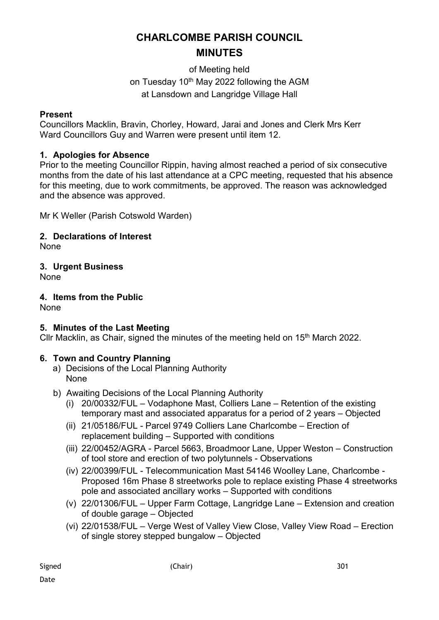# **CHARLCOMBE PARISH COUNCIL MINUTES**

of Meeting held on Tuesday 10<sup>th</sup> May 2022 following the AGM at Lansdown and Langridge Village Hall

#### **Present**

Councillors Macklin, Bravin, Chorley, Howard, Jarai and Jones and Clerk Mrs Kerr Ward Councillors Guy and Warren were present until item 12.

# **1. Apologies for Absence**

Prior to the meeting Councillor Rippin, having almost reached a period of six consecutive months from the date of his last attendance at a CPC meeting, requested that his absence for this meeting, due to work commitments, be approved. The reason was acknowledged and the absence was approved.

Mr K Weller (Parish Cotswold Warden)

# **2. Declarations of Interest**

None

**3. Urgent Business** 

None

**4. Items from the Public** 

**None** 

# **5. Minutes of the Last Meeting**

Cllr Macklin, as Chair, signed the minutes of the meeting held on 15<sup>th</sup> March 2022.

# **6. Town and Country Planning**

- a) Decisions of the Local Planning Authority None
- b) Awaiting Decisions of the Local Planning Authority
	- (i) 20/00332/FUL Vodaphone Mast, Colliers Lane Retention of the existing temporary mast and associated apparatus for a period of 2 years – Objected
	- (ii) 21/05186/FUL Parcel 9749 Colliers Lane Charlcombe Erection of replacement building – Supported with conditions
	- (iii) 22/00452/AGRA Parcel 5663, Broadmoor Lane, Upper Weston Construction of tool store and erection of two polytunnels - Observations
	- (iv) 22/00399/FUL Telecommunication Mast 54146 Woolley Lane, Charlcombe Proposed 16m Phase 8 streetworks pole to replace existing Phase 4 streetworks pole and associated ancillary works – Supported with conditions
	- (v) 22/01306/FUL Upper Farm Cottage, Langridge Lane Extension and creation of double garage – Objected
	- (vi) 22/01538/FUL Verge West of Valley View Close, Valley View Road Erection of single storey stepped bungalow – Objected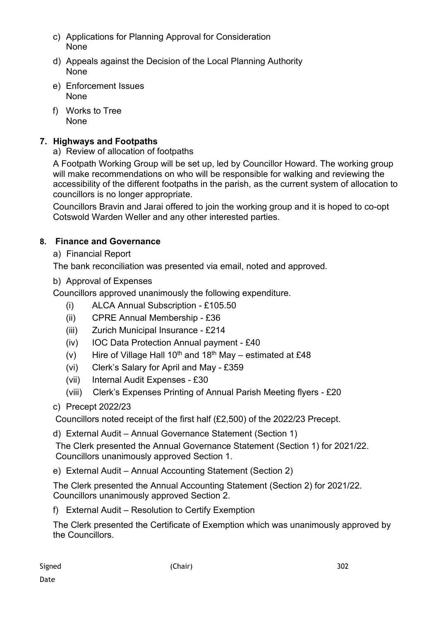- c) Applications for Planning Approval for Consideration None
- d) Appeals against the Decision of the Local Planning Authority None
- e) Enforcement Issues None
- f) Works to Tree None

# **7. Highways and Footpaths**

a) Review of allocation of footpaths

A Footpath Working Group will be set up, led by Councillor Howard. The working group will make recommendations on who will be responsible for walking and reviewing the accessibility of the different footpaths in the parish, as the current system of allocation to councillors is no longer appropriate.

Councillors Bravin and Jarai offered to join the working group and it is hoped to co-opt Cotswold Warden Weller and any other interested parties.

# **8. Finance and Governance**

a) Financial Report

The bank reconciliation was presented via email, noted and approved.

# b) Approval of Expenses

Councillors approved unanimously the following expenditure.

- (i) ALCA Annual Subscription £105.50
- (ii) CPRE Annual Membership £36
- (iii) Zurich Municipal Insurance £214
- (iv) IOC Data Protection Annual payment £40
- (v) Hire of Village Hall  $10^{th}$  and  $18^{th}$  May estimated at £48
- (vi) Clerk's Salary for April and May £359
- (vii) Internal Audit Expenses £30
- (viii) Clerk's Expenses Printing of Annual Parish Meeting flyers £20
- c) Precept 2022/23

Councillors noted receipt of the first half (£2,500) of the 2022/23 Precept.

d) External Audit – Annual Governance Statement (Section 1)

The Clerk presented the Annual Governance Statement (Section 1) for 2021/22. Councillors unanimously approved Section 1.

e) External Audit – Annual Accounting Statement (Section 2)

The Clerk presented the Annual Accounting Statement (Section 2) for 2021/22. Councillors unanimously approved Section 2.

f) External Audit – Resolution to Certify Exemption

The Clerk presented the Certificate of Exemption which was unanimously approved by the Councillors.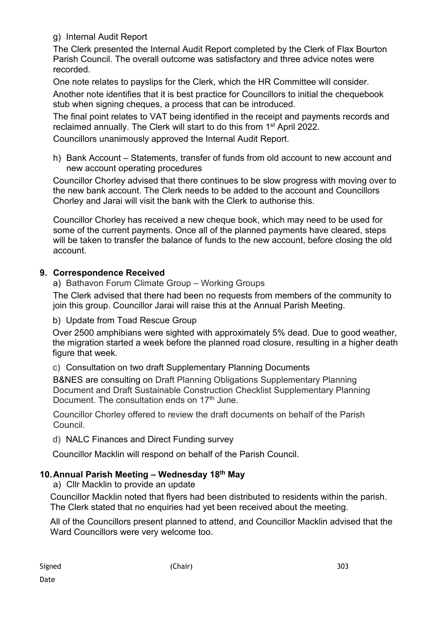g) Internal Audit Report

The Clerk presented the Internal Audit Report completed by the Clerk of Flax Bourton Parish Council. The overall outcome was satisfactory and three advice notes were recorded.

One note relates to payslips for the Clerk, which the HR Committee will consider. Another note identifies that it is best practice for Councillors to initial the chequebook stub when signing cheques, a process that can be introduced.

The final point relates to VAT being identified in the receipt and payments records and reclaimed annually. The Clerk will start to do this from 1st April 2022.

Councillors unanimously approved the Internal Audit Report.

h) Bank Account – Statements, transfer of funds from old account to new account and new account operating procedures

Councillor Chorley advised that there continues to be slow progress with moving over to the new bank account. The Clerk needs to be added to the account and Councillors Chorley and Jarai will visit the bank with the Clerk to authorise this.

Councillor Chorley has received a new cheque book, which may need to be used for some of the current payments. Once all of the planned payments have cleared, steps will be taken to transfer the balance of funds to the new account, before closing the old account.

#### **9. Correspondence Received**

a) Bathavon Forum Climate Group – Working Groups

The Clerk advised that there had been no requests from members of the community to join this group. Councillor Jarai will raise this at the Annual Parish Meeting.

#### b) Update from Toad Rescue Group

Over 2500 amphibians were sighted with approximately 5% dead. Due to good weather, the migration started a week before the planned road closure, resulting in a higher death figure that week.

#### c) Consultation on two draft Supplementary Planning Documents

B&NES are consulting on Draft Planning Obligations Supplementary Planning Document and Draft Sustainable Construction Checklist Supplementary Planning Document. The consultation ends on 17<sup>th</sup> June.

Councillor Chorley offered to review the draft documents on behalf of the Parish Council.

d) NALC Finances and Direct Funding survey

Councillor Macklin will respond on behalf of the Parish Council.

# **10. Annual Parish Meeting – Wednesday 18th May**

a) Cllr Macklin to provide an update

Councillor Macklin noted that flyers had been distributed to residents within the parish. The Clerk stated that no enquiries had yet been received about the meeting.

All of the Councillors present planned to attend, and Councillor Macklin advised that the Ward Councillors were very welcome too.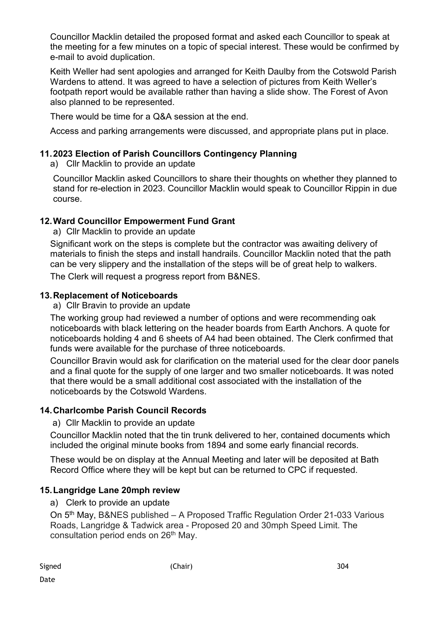Councillor Macklin detailed the proposed format and asked each Councillor to speak at the meeting for a few minutes on a topic of special interest. These would be confirmed by e-mail to avoid duplication.

Keith Weller had sent apologies and arranged for Keith Daulby from the Cotswold Parish Wardens to attend. It was agreed to have a selection of pictures from Keith Weller's footpath report would be available rather than having a slide show. The Forest of Avon also planned to be represented.

There would be time for a Q&A session at the end.

Access and parking arrangements were discussed, and appropriate plans put in place.

#### **11. 2023 Election of Parish Councillors Contingency Planning**

a) Cllr Macklin to provide an update

Councillor Macklin asked Councillors to share their thoughts on whether they planned to stand for re-election in 2023. Councillor Macklin would speak to Councillor Rippin in due course.

## **12. Ward Councillor Empowerment Fund Grant**

a) Cllr Macklin to provide an update

Significant work on the steps is complete but the contractor was awaiting delivery of materials to finish the steps and install handrails. Councillor Macklin noted that the path can be very slippery and the installation of the steps will be of great help to walkers.

The Clerk will request a progress report from B&NES.

#### **13. Replacement of Noticeboards**

a) Cllr Bravin to provide an update

The working group had reviewed a number of options and were recommending oak noticeboards with black lettering on the header boards from Earth Anchors. A quote for noticeboards holding 4 and 6 sheets of A4 had been obtained. The Clerk confirmed that funds were available for the purchase of three noticeboards.

Councillor Bravin would ask for clarification on the material used for the clear door panels and a final quote for the supply of one larger and two smaller noticeboards. It was noted that there would be a small additional cost associated with the installation of the noticeboards by the Cotswold Wardens.

#### **14. Charlcombe Parish Council Records**

a) Cllr Macklin to provide an update

Councillor Macklin noted that the tin trunk delivered to her, contained documents which included the original minute books from 1894 and some early financial records.

These would be on display at the Annual Meeting and later will be deposited at Bath Record Office where they will be kept but can be returned to CPC if requested.

#### **15. Langridge Lane 20mph review**

a) Clerk to provide an update

On 5th May, B&NES published – A Proposed Traffic Regulation Order 21-033 Various Roads, Langridge & Tadwick area - Proposed 20 and 30mph Speed Limit. The consultation period ends on 26<sup>th</sup> May.